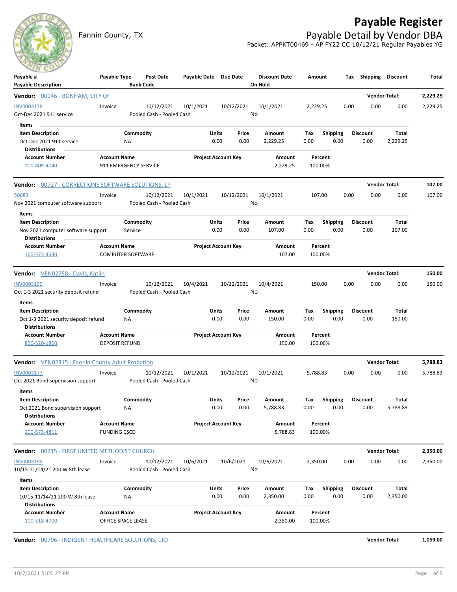## **Payable Register**



Fannin County, TX **Payable Detail by Vendor DBA** Packet: APPKT00469 - AP FY22 CC 10/12/21 Regular Payables YG

| $\sim$<br>Payable #<br><b>Payable Description</b>                                                | Payable Type                                    | <b>Bank Code</b> | <b>Post Date</b>                        | Payable Date Due Date |                            |               | <b>Discount Date</b><br>On Hold | Amount             |                         |      | Tax Shipping Discount   |                      | Total    |
|--------------------------------------------------------------------------------------------------|-------------------------------------------------|------------------|-----------------------------------------|-----------------------|----------------------------|---------------|---------------------------------|--------------------|-------------------------|------|-------------------------|----------------------|----------|
| <b>Vendor:</b> 00046 - BONHAM, CITY OF                                                           |                                                 |                  |                                         |                       |                            |               |                                 |                    |                         |      |                         | <b>Vendor Total:</b> | 2,229.25 |
| INV0003178<br>Oct-Dec 2021 911 service<br>Items                                                  | Invoice                                         |                  | 10/12/2021<br>Pooled Cash - Pooled Cash | 10/1/2021             |                            | 10/12/2021    | 10/1/2021<br>No                 | 2,229.25           |                         | 0.00 | 0.00                    | 0.00                 | 2,229.25 |
| <b>Item Description</b><br>Oct-Dec 2021 911 service<br><b>Distributions</b>                      |                                                 | Commodity<br>ΝA  |                                         |                       | Units<br>0.00              | Price<br>0.00 | Amount<br>2,229.25              | Tax<br>0.00        | <b>Shipping</b><br>0.00 |      | <b>Discount</b><br>0.00 | Total<br>2,229.25    |          |
| <b>Account Number</b><br>100-409-4040                                                            | <b>Account Name</b><br>911 EMERGENCY SERVICE    |                  |                                         |                       | <b>Project Account Key</b> |               | Amount<br>2,229.25              | Percent<br>100.00% |                         |      |                         |                      |          |
| <b>Vendor:</b> 00727 - CORRECTIONS SOFTWARE SOLUTIONS, LP                                        |                                                 |                  |                                         |                       |                            |               |                                 |                    |                         |      |                         | <b>Vendor Total:</b> | 107.00   |
| 50683<br>Nov 2021 computer software support                                                      | Invoice                                         |                  | 10/12/2021<br>Pooled Cash - Pooled Cash | 10/1/2021             |                            | 10/12/2021    | 10/1/2021<br>No                 | 107.00             |                         | 0.00 | 0.00                    | 0.00                 | 107.00   |
| Items<br><b>Item Description</b>                                                                 |                                                 | Commodity        |                                         |                       | Units                      | Price         | Amount                          | Tax                | <b>Shipping</b>         |      | <b>Discount</b>         | Total                |          |
| Nov 2021 computer software support<br><b>Distributions</b>                                       |                                                 | Service          |                                         |                       | 0.00                       | 0.00          | 107.00                          | 0.00               | 0.00                    |      | 0.00                    | 107.00               |          |
| <b>Account Number</b><br>100-573-4530                                                            | <b>Account Name</b><br><b>COMPUTER SOFTWARE</b> |                  |                                         |                       | <b>Project Account Key</b> |               | Amount<br>107.00                | Percent<br>100.00% |                         |      |                         |                      |          |
| Vendor: VEN02758 - Davis, Katlin                                                                 |                                                 |                  |                                         |                       |                            |               |                                 |                    |                         |      |                         | <b>Vendor Total:</b> | 150.00   |
| INV0003199<br>Oct 1-3 2021 security deposit refund                                               | Invoice                                         |                  | 10/12/2021<br>Pooled Cash - Pooled Cash | 10/4/2021             |                            | 10/12/2021    | 10/4/2021<br>No                 | 150.00             |                         | 0.00 | 0.00                    | 0.00                 | 150.00   |
| Items<br><b>Item Description</b><br>Oct 1-3 2021 security deposit refund<br><b>Distributions</b> |                                                 | Commodity<br>ΝA  |                                         |                       | Units<br>0.00              | Price<br>0.00 | Amount<br>150.00                | Tax<br>0.00        | <b>Shipping</b><br>0.00 |      | <b>Discount</b><br>0.00 | Total<br>150.00      |          |
| <b>Account Number</b><br>850-520-1860                                                            | <b>Account Name</b><br><b>DEPOSIT REFUND</b>    |                  |                                         |                       | <b>Project Account Key</b> |               | Amount<br>150.00                | Percent<br>100.00% |                         |      |                         |                      |          |
| Vendor: VEN02315 - Fannin County Adult Probation                                                 |                                                 |                  |                                         |                       |                            |               |                                 |                    |                         |      |                         | <b>Vendor Total:</b> | 5,788.83 |
| INV0003177<br>Oct 2021 Bond supervision support                                                  | Invoice                                         |                  | 10/12/2021<br>Pooled Cash - Pooled Cash | 10/1/2021             |                            | 10/12/2021    | 10/1/2021<br>No                 | 5,788.83           |                         | 0.00 | 0.00                    | 0.00                 | 5,788.83 |
| Items<br><b>Item Description</b><br>Oct 2021 Bond supervision support<br><b>Distributions</b>    |                                                 | Commodity<br>ΝA  |                                         |                       | <b>Units</b><br>0.00       | Price<br>0.00 | Amount<br>5,788.83              | Тах<br>0.00        | <b>Shipping</b><br>0.00 |      | <b>Discount</b><br>0.00 | Total<br>5,788.83    |          |
| <b>Account Number</b><br>100-573-4811                                                            | <b>Account Name</b><br><b>FUNDING CSCD</b>      |                  |                                         |                       | <b>Project Account Key</b> |               | Amount<br>5,788.83              | Percent<br>100.00% |                         |      |                         |                      |          |
| <b>Vendor:</b> 00215 - FIRST UNITED METHODIST CHURCH                                             |                                                 |                  |                                         |                       |                            |               |                                 |                    |                         |      |                         | <b>Vendor Total:</b> | 2,350.00 |
| INV0003198<br>10/15-11/14/21 200 W 8th lease                                                     | Invoice                                         |                  | 10/12/2021<br>Pooled Cash - Pooled Cash | 10/6/2021             |                            | 10/6/2021     | 10/6/2021<br>No                 | 2,350.00           |                         | 0.00 | 0.00                    | 0.00                 | 2,350.00 |
| Items<br><b>Item Description</b><br>10/15-11/14/21 200 W 8th lease<br><b>Distributions</b>       |                                                 | Commodity<br>ΝA  |                                         |                       | Units<br>0.00              | Price<br>0.00 | Amount<br>2,350.00              | Tax<br>0.00        | Shipping<br>0.00        |      | Discount<br>0.00        | Total<br>2,350.00    |          |
| <b>Account Number</b><br>100-518-4700                                                            | <b>Account Name</b><br>OFFICE SPACE LEASE       |                  |                                         |                       | <b>Project Account Key</b> |               | Amount<br>2,350.00              | Percent<br>100.00% |                         |      |                         |                      |          |

**Vendor:**  $00796$  - INDIGENT HEALTHCARE SOLUTIONS, LTD **Vendor Total: 1,059.00**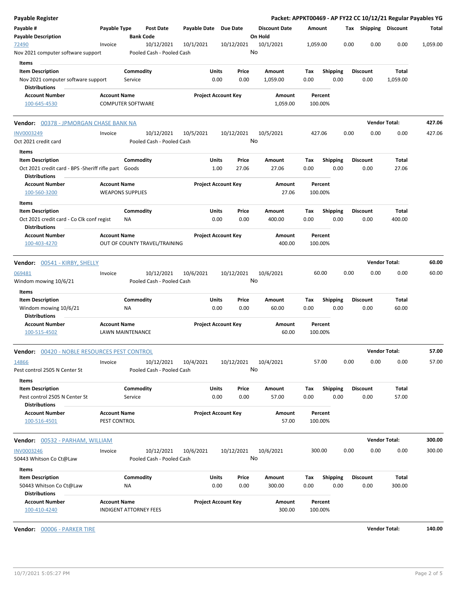| <b>Payable Register</b>                                                                        |                                     |                               |                                         |                       |                                    |                |                                 |             |                         |      |                         | Packet: APPKT00469 - AP FY22 CC 10/12/21 Regular Payables YG |          |
|------------------------------------------------------------------------------------------------|-------------------------------------|-------------------------------|-----------------------------------------|-----------------------|------------------------------------|----------------|---------------------------------|-------------|-------------------------|------|-------------------------|--------------------------------------------------------------|----------|
| Payable #<br><b>Payable Description</b>                                                        | Payable Type                        | <b>Bank Code</b>              | Post Date                               | Payable Date Due Date |                                    |                | <b>Discount Date</b><br>On Hold |             | Amount                  |      | Tax Shipping Discount   |                                                              | Total    |
| 72490<br>Nov 2021 computer software support                                                    | Invoice                             |                               | 10/12/2021<br>Pooled Cash - Pooled Cash | 10/1/2021             |                                    | 10/12/2021     | 10/1/2021<br>No                 | 1,059.00    |                         | 0.00 | 0.00                    | 0.00                                                         | 1,059.00 |
| Items<br><b>Item Description</b><br>Nov 2021 computer software support<br><b>Distributions</b> |                                     | Commodity<br>Service          |                                         |                       | Units<br>0.00                      | Price<br>0.00  | Amount<br>1,059.00              | Tax<br>0.00 | <b>Shipping</b><br>0.00 |      | <b>Discount</b><br>0.00 | Total<br>1,059.00                                            |          |
| <b>Account Number</b><br>100-645-4530                                                          | <b>Account Name</b>                 | <b>COMPUTER SOFTWARE</b>      |                                         |                       | <b>Project Account Key</b>         |                | Amount<br>1,059.00              |             | Percent<br>100.00%      |      |                         |                                                              |          |
| Vendor: 00378 - JPMORGAN CHASE BANK NA                                                         |                                     |                               |                                         |                       |                                    |                |                                 |             |                         |      |                         | <b>Vendor Total:</b>                                         | 427.06   |
| INV0003249<br>Oct 2021 credit card                                                             | Invoice                             |                               | 10/12/2021<br>Pooled Cash - Pooled Cash | 10/5/2021             |                                    | 10/12/2021     | 10/5/2021<br>No                 |             | 427.06                  | 0.00 | 0.00                    | 0.00                                                         | 427.06   |
| Items<br><b>Item Description</b><br>Oct 2021 credit card - BPS - Sheriff rifle part Goods      |                                     | Commodity                     |                                         |                       | Units<br>1.00                      | Price<br>27.06 | Amount<br>27.06                 | Tax<br>0.00 | <b>Shipping</b><br>0.00 |      | <b>Discount</b><br>0.00 | Total<br>27.06                                               |          |
| <b>Distributions</b><br><b>Account Number</b><br>100-560-3200                                  | <b>Account Name</b>                 | <b>WEAPONS SUPPLIES</b>       |                                         |                       | <b>Project Account Key</b>         |                | Amount<br>27.06                 |             | Percent<br>100.00%      |      |                         |                                                              |          |
| Items<br><b>Item Description</b>                                                               |                                     | Commodity                     |                                         |                       | Units                              | Price          | Amount                          | Tax         | <b>Shipping</b>         |      | <b>Discount</b>         | Total                                                        |          |
| Oct 2021 credit card - Co Clk conf regist<br><b>Distributions</b><br><b>Account Number</b>     | <b>Account Name</b>                 | ΝA                            |                                         |                       | 0.00<br><b>Project Account Key</b> | 0.00           | 400.00<br>Amount                | 0.00        | 0.00<br>Percent         |      | 0.00                    | 400.00                                                       |          |
| 100-403-4270                                                                                   |                                     |                               | OUT OF COUNTY TRAVEL/TRAINING           |                       |                                    |                | 400.00                          |             | 100.00%                 |      |                         |                                                              |          |
| Vendor: 00541 - KIRBY, SHELLY                                                                  |                                     |                               |                                         |                       |                                    |                |                                 |             |                         |      |                         | <b>Vendor Total:</b>                                         | 60.00    |
| 069481<br>Windom mowing 10/6/21                                                                | Invoice                             |                               | 10/12/2021<br>Pooled Cash - Pooled Cash | 10/6/2021             |                                    | 10/12/2021     | 10/6/2021<br>No                 |             | 60.00                   | 0.00 | 0.00                    | 0.00                                                         | 60.00    |
| Items<br><b>Item Description</b><br>Windom mowing 10/6/21<br><b>Distributions</b>              |                                     | Commodity<br>ΝA               |                                         |                       | Units<br>0.00                      | Price<br>0.00  | Amount<br>60.00                 | Tax<br>0.00 | <b>Shipping</b><br>0.00 |      | <b>Discount</b><br>0.00 | Total<br>60.00                                               |          |
| <b>Account Number</b><br>100-515-4502                                                          | <b>Account Name</b>                 | LAWN MAINTENANCE              |                                         |                       | <b>Project Account Key</b>         |                | Amount<br>60.00                 |             | Percent<br>100.00%      |      |                         |                                                              |          |
| Vendor: 00420 - NOBLE RESOURCES PEST CONTROL                                                   |                                     |                               |                                         |                       |                                    |                |                                 |             |                         |      |                         | Vendor Total:                                                | 57.00    |
| 14866<br>Pest control 2505 N Center St                                                         | Invoice                             |                               | 10/12/2021<br>Pooled Cash - Pooled Cash | 10/4/2021             |                                    | 10/12/2021     | 10/4/2021<br>No                 |             | 57.00                   | 0.00 | 0.00                    | 0.00                                                         | 57.00    |
| Items<br><b>Item Description</b><br>Pest control 2505 N Center St<br><b>Distributions</b>      |                                     | Commodity<br>Service          |                                         |                       | Units<br>0.00                      | Price<br>0.00  | Amount<br>57.00                 | Tax<br>0.00 | <b>Shipping</b><br>0.00 |      | <b>Discount</b><br>0.00 | Total<br>57.00                                               |          |
| <b>Account Number</b><br>100-516-4501                                                          | <b>Account Name</b><br>PEST CONTROL |                               |                                         |                       | <b>Project Account Key</b>         |                | Amount<br>57.00                 |             | Percent<br>100.00%      |      |                         |                                                              |          |
| <b>Vendor:</b> 00532 - PARHAM, WILLIAM                                                         |                                     |                               |                                         |                       |                                    |                |                                 |             |                         |      |                         | <b>Vendor Total:</b>                                         | 300.00   |
| <b>INV0003246</b><br>50443 Whitson Co Ct@Law                                                   | Invoice                             |                               | 10/12/2021<br>Pooled Cash - Pooled Cash | 10/6/2021             |                                    | 10/12/2021     | 10/6/2021<br>No                 |             | 300.00                  | 0.00 | 0.00                    | 0.00                                                         | 300.00   |
| Items<br><b>Item Description</b><br>50443 Whitson Co Ct@Law<br><b>Distributions</b>            |                                     | Commodity<br>NA               |                                         |                       | Units<br>0.00                      | Price<br>0.00  | Amount<br>300.00                | Tax<br>0.00 | <b>Shipping</b><br>0.00 |      | <b>Discount</b><br>0.00 | Total<br>300.00                                              |          |
| <b>Account Number</b><br>100-410-4240                                                          | <b>Account Name</b>                 | <b>INDIGENT ATTORNEY FEES</b> |                                         |                       | <b>Project Account Key</b>         |                | Amount<br>300.00                |             | Percent<br>100.00%      |      |                         |                                                              |          |

**Vendor:** 00006 - PARKER TIRE **Vendor Total: 140.00**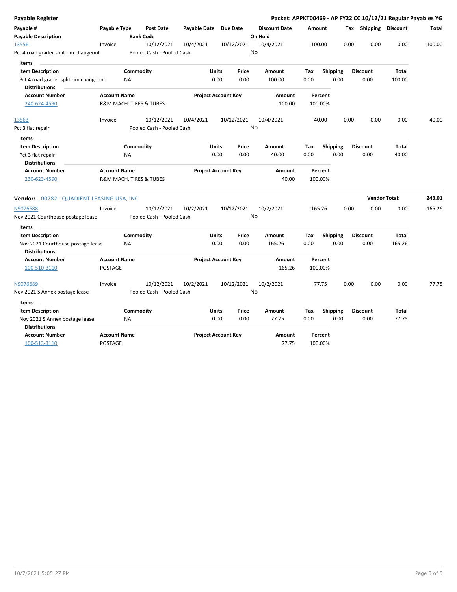| Payable Register                                              |                     |                           |                       |                            |       |                      |        |                 |      |                       | Packet: APPKT00469 - AP FY22 CC 10/12/21 Regular Payables YG |              |
|---------------------------------------------------------------|---------------------|---------------------------|-----------------------|----------------------------|-------|----------------------|--------|-----------------|------|-----------------------|--------------------------------------------------------------|--------------|
| Payable #                                                     | Payable Type        | <b>Post Date</b>          | Payable Date Due Date |                            |       | <b>Discount Date</b> | Amount |                 |      | Tax Shipping Discount |                                                              | <b>Total</b> |
| <b>Payable Description</b>                                    |                     | <b>Bank Code</b>          |                       |                            |       | On Hold              |        |                 |      |                       |                                                              |              |
| 13556                                                         | Invoice             | 10/12/2021                | 10/4/2021             | 10/12/2021                 |       | 10/4/2021            |        | 100.00          | 0.00 | 0.00                  | 0.00                                                         | 100.00       |
| Pct 4 road grader split rim changeout                         |                     | Pooled Cash - Pooled Cash |                       |                            |       | No                   |        |                 |      |                       |                                                              |              |
| Items                                                         |                     |                           |                       |                            |       |                      |        |                 |      |                       |                                                              |              |
| <b>Item Description</b>                                       |                     | Commodity                 |                       | <b>Units</b>               | Price | Amount               | Tax    | <b>Shipping</b> |      | <b>Discount</b>       | <b>Total</b>                                                 |              |
| Pct 4 road grader split rim changeout<br><b>Distributions</b> |                     | NA                        |                       | 0.00                       | 0.00  | 100.00               | 0.00   | 0.00            |      | 0.00                  | 100.00                                                       |              |
| <b>Account Number</b>                                         | <b>Account Name</b> |                           |                       | <b>Project Account Key</b> |       | Amount               |        | Percent         |      |                       |                                                              |              |
| 240-624-4590                                                  |                     | R&M MACH. TIRES & TUBES   |                       |                            |       | 100.00               |        | 100.00%         |      |                       |                                                              |              |
| 13563                                                         | Invoice             | 10/12/2021                | 10/4/2021             | 10/12/2021                 |       | 10/4/2021            |        | 40.00           | 0.00 | 0.00                  | 0.00                                                         | 40.00        |
| Pct 3 flat repair                                             |                     | Pooled Cash - Pooled Cash |                       |                            |       | No                   |        |                 |      |                       |                                                              |              |
| <b>Items</b>                                                  |                     |                           |                       |                            |       |                      |        |                 |      |                       |                                                              |              |
| <b>Item Description</b>                                       |                     | Commodity                 |                       | Units                      | Price | Amount               | Tax    | <b>Shipping</b> |      | <b>Discount</b>       | Total                                                        |              |
| Pct 3 flat repair                                             |                     | <b>NA</b>                 |                       | 0.00                       | 0.00  | 40.00                | 0.00   | 0.00            |      | 0.00                  | 40.00                                                        |              |
| <b>Distributions</b>                                          |                     |                           |                       |                            |       |                      |        |                 |      |                       |                                                              |              |
| <b>Account Number</b>                                         | <b>Account Name</b> |                           |                       | <b>Project Account Key</b> |       | Amount               |        | Percent         |      |                       |                                                              |              |
| 230-623-4590                                                  |                     | R&M MACH. TIRES & TUBES   |                       |                            |       | 40.00                |        | 100.00%         |      |                       |                                                              |              |
| <b>Vendor:</b> 00782 - QUADIENT LEASING USA, INC              |                     |                           |                       |                            |       |                      |        |                 |      | <b>Vendor Total:</b>  |                                                              | 243.01       |
| N9076688                                                      | Invoice             | 10/12/2021                | 10/2/2021             | 10/12/2021                 |       | 10/2/2021            |        | 165.26          | 0.00 | 0.00                  | 0.00                                                         | 165.26       |
| Nov 2021 Courthouse postage lease                             |                     | Pooled Cash - Pooled Cash |                       |                            |       | No                   |        |                 |      |                       |                                                              |              |
| <b>Items</b>                                                  |                     |                           |                       |                            |       |                      |        |                 |      |                       |                                                              |              |
| <b>Item Description</b>                                       |                     | Commodity                 |                       | Units                      | Price | Amount               | Tax    | <b>Shipping</b> |      | <b>Discount</b>       | <b>Total</b>                                                 |              |
| Nov 2021 Courthouse postage lease<br><b>Distributions</b>     |                     | <b>NA</b>                 |                       | 0.00                       | 0.00  | 165.26               | 0.00   | 0.00            |      | 0.00                  | 165.26                                                       |              |
| <b>Account Number</b>                                         | <b>Account Name</b> |                           |                       | <b>Project Account Key</b> |       | Amount               |        | Percent         |      |                       |                                                              |              |
| 100-510-3110                                                  | <b>POSTAGE</b>      |                           |                       |                            |       | 165.26               |        | 100.00%         |      |                       |                                                              |              |
| N9076689                                                      | Invoice             | 10/12/2021                | 10/2/2021             | 10/12/2021                 |       | 10/2/2021            |        | 77.75           | 0.00 | 0.00                  | 0.00                                                         | 77.75        |
| Nov 2021 S Annex postage lease                                |                     | Pooled Cash - Pooled Cash |                       |                            |       | No                   |        |                 |      |                       |                                                              |              |
| <b>Items</b>                                                  |                     |                           |                       |                            |       |                      |        |                 |      |                       |                                                              |              |
| <b>Item Description</b>                                       |                     | Commodity                 |                       | <b>Units</b>               | Price | Amount               | Tax    | Shipping        |      | <b>Discount</b>       | <b>Total</b>                                                 |              |
| Nov 2021 S Annex postage lease                                |                     | NA                        |                       | 0.00                       | 0.00  | 77.75                | 0.00   | 0.00            |      | 0.00                  | 77.75                                                        |              |
| <b>Distributions</b>                                          |                     |                           |                       |                            |       |                      |        |                 |      |                       |                                                              |              |
| <b>Account Number</b>                                         | <b>Account Name</b> |                           |                       | <b>Project Account Key</b> |       | <b>Amount</b>        |        | Percent         |      |                       |                                                              |              |
| 100-513-3110                                                  | POSTAGE             |                           |                       |                            |       | 77.75                |        | 100.00%         |      |                       |                                                              |              |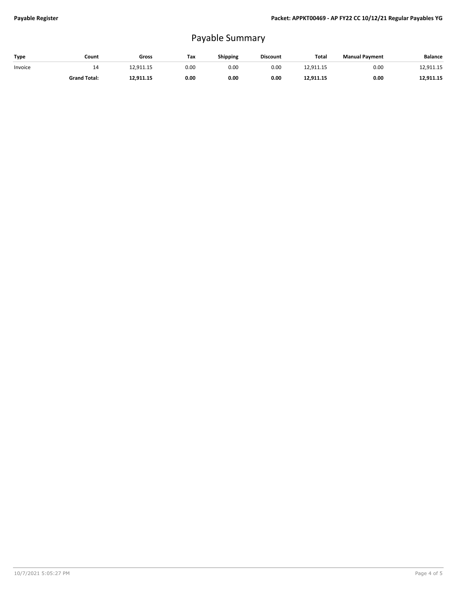## Payable Summary

| Type    | Count               | Gross     | Tax  | Shipping | <b>Discount</b> | Total     | <b>Manual Payment</b> | <b>Balance</b> |
|---------|---------------------|-----------|------|----------|-----------------|-----------|-----------------------|----------------|
| Invoice | 14                  | 12.911.15 | 0.00 | 0.00     | 0.00            | 12.911.15 | 0.00                  | 12.911.15      |
|         | <b>Grand Total:</b> | 12,911.15 | 0.00 | 0.00     | 0.00            | 12,911.15 | 0.00                  | 12,911.15      |